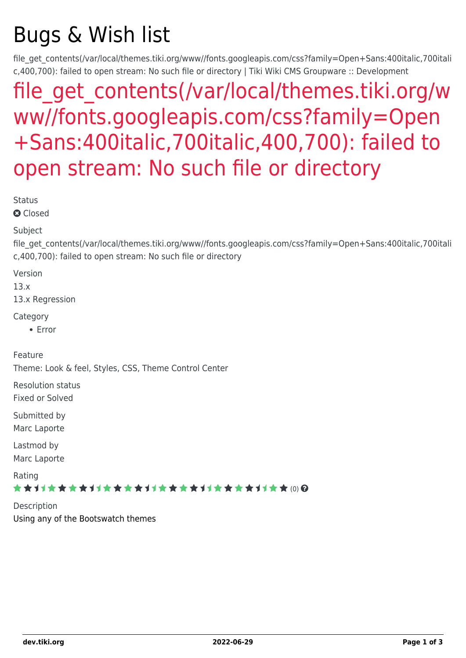# Bugs & Wish list

file\_get\_contents(/var/local/themes.tiki.org/www//fonts.googleapis.com/css?family=Open+Sans:400italic,700itali c,400,700): failed to open stream: No such file or directory | Tiki Wiki CMS Groupware :: Development

## file get contents(/var/local/themes.tiki.org/w [ww//fonts.googleapis.com/css?family=Open](https://dev.tiki.org/item5391--file_get_contents-var-local-themes-tiki-org-www-fonts-googleapis-com-css-family-Open-Sans-400italic-700italic-400-700-failed-to-open-stream-No-such-file-or-directory) [+Sans:400italic,700italic,400,700\): failed to](https://dev.tiki.org/item5391--file_get_contents-var-local-themes-tiki-org-www-fonts-googleapis-com-css-family-Open-Sans-400italic-700italic-400-700-failed-to-open-stream-No-such-file-or-directory) [open stream: No such file or directory](https://dev.tiki.org/item5391--file_get_contents-var-local-themes-tiki-org-www-fonts-googleapis-com-css-family-Open-Sans-400italic-700italic-400-700-failed-to-open-stream-No-such-file-or-directory)

**Status** 

**a** Closed

Subject

file\_get\_contents(/var/local/themes.tiki.org/www//fonts.googleapis.com/css?family=Open+Sans:400italic,700itali c,400,700): failed to open stream: No such file or directory

Version

13.x

13.x Regression

Category

Error

Feature

Theme: Look & feel, Styles, CSS, Theme Control Center

Resolution status

Fixed or Solved

Submitted by Marc Laporte

Lastmod by Marc Laporte

Rating

\*\*\*\*\*\*\*\*\*\*\*\*\*\*\*\*\*\*\*\*\*\*\*\*\*\*\*\*\*\*

**Description** Using any of the Bootswatch themes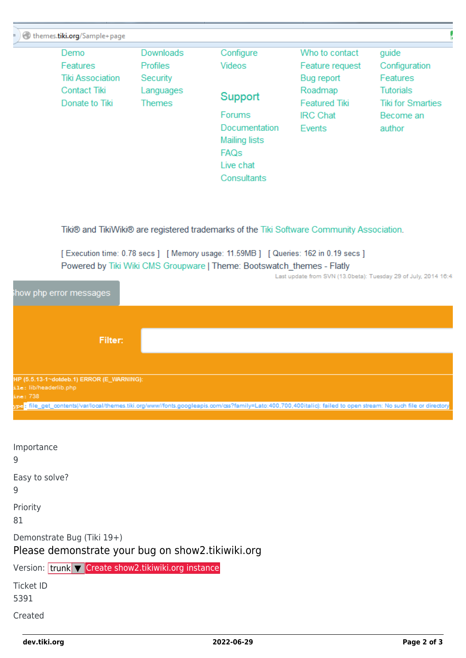| themes.tiki.org/Sample+page                                                                 |                                                                               |                                                                                                                                   |                                                                                                                 |                                                                                                                  |  |
|---------------------------------------------------------------------------------------------|-------------------------------------------------------------------------------|-----------------------------------------------------------------------------------------------------------------------------------|-----------------------------------------------------------------------------------------------------------------|------------------------------------------------------------------------------------------------------------------|--|
| Demo<br><b>Features</b><br><b>Tiki Association</b><br><b>Contact Tiki</b><br>Donate to Tiki | <b>Downloads</b><br><b>Profiles</b><br>Security<br>Languages<br><b>Themes</b> | Configure<br>Videos<br>Support<br><b>Forums</b><br>Documentation<br>Mailing lists<br>FAQ <sub>S</sub><br>Live chat<br>Consultants | Who to contact<br>Feature request<br>Bug report<br>Roadmap<br><b>Featured Tiki</b><br><b>IRC Chat</b><br>Events | guide<br>Configuration<br><b>Features</b><br><b>Tutorials</b><br><b>Tiki for Smarties</b><br>Become an<br>author |  |
|                                                                                             |                                                                               |                                                                                                                                   |                                                                                                                 |                                                                                                                  |  |

Tiki® and TikiWiki® are registered trademarks of the Tiki Software Community Association.

[Execution time: 0.78 secs] [Memory usage: 11.59MB] [Queries: 162 in 0.19 secs] Powered by Tiki Wiki CMS Groupware | Theme: Bootswatch\_themes - Flatly

Last update from SVN (13.0beta): Tuesday 29 of July, 2014 16:4:

| show php error messages                   |                                                                                                                                                                  |
|-------------------------------------------|------------------------------------------------------------------------------------------------------------------------------------------------------------------|
|                                           |                                                                                                                                                                  |
| Filter:                                   |                                                                                                                                                                  |
|                                           |                                                                                                                                                                  |
| HP (5.5.13-1~dotdeb.1) ERROR (E_WARNING): |                                                                                                                                                                  |
| ile: lib/headerlib.php                    |                                                                                                                                                                  |
| ine: 738                                  |                                                                                                                                                                  |
|                                           | ype: file_get_contents(/var/local/themes.tiki.org/www//fonts.googleapis.com/css?family=Lato:400,700,400italic): failed to open stream: No such file or directory |
|                                           |                                                                                                                                                                  |

Importance 9 Easy to solve? 9 Priority 81 Demonstrate Bug (Tiki 19+) Please demonstrate your bug on show2.tikiwiki.org Version: trunk ▼ [Create show2.tikiwiki.org instance](#page--1-0) Ticket ID 5391 Created